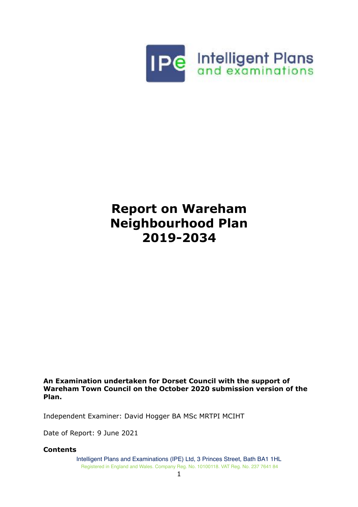

## **Report on Wareham Neighbourhood Plan 2019-2034**

**An Examination undertaken for Dorset Council with the support of Wareham Town Council on the October 2020 submission version of the Plan.** 

Independent Examiner: David Hogger BA MSc MRTPI MCIHT

Date of Report: 9 June 2021

#### **Contents**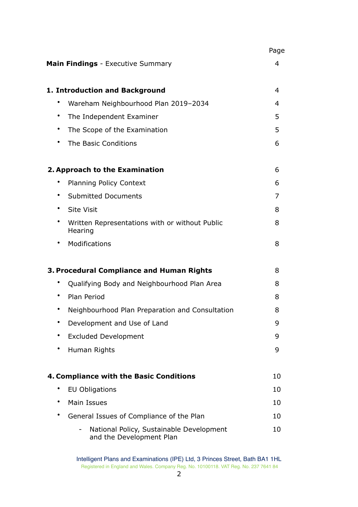|           |                                                                      | Page |
|-----------|----------------------------------------------------------------------|------|
|           | <b>Main Findings</b> - Executive Summary                             | 4    |
|           | 1. Introduction and Background                                       | 4    |
|           | Wareham Neighbourhood Plan 2019-2034                                 | 4    |
| ٠         | The Independent Examiner                                             | 5    |
| $\bullet$ | The Scope of the Examination                                         | 5    |
|           | The Basic Conditions                                                 | 6    |
|           | 2. Approach to the Examination                                       | 6    |
|           | <b>Planning Policy Context</b>                                       | 6    |
| ٠         | <b>Submitted Documents</b>                                           | 7    |
| ٠         | <b>Site Visit</b>                                                    | 8    |
|           | Written Representations with or without Public<br>Hearing            | 8    |
|           | Modifications                                                        | 8    |
|           | 3. Procedural Compliance and Human Rights                            | 8    |
|           | Qualifying Body and Neighbourhood Plan Area                          | 8    |
|           | Plan Period                                                          | 8    |
|           | Neighbourhood Plan Preparation and Consultation                      | 8    |
|           | Development and Use of Land                                          | 9    |
|           | <b>Excluded Development</b>                                          | 9    |
|           | Human Rights                                                         | 9    |
|           | 4. Compliance with the Basic Conditions                              | 10   |
|           | <b>EU Obligations</b>                                                | 10   |
|           | Main Issues                                                          | 10   |
|           | General Issues of Compliance of the Plan                             | 10   |
|           | National Policy, Sustainable Development<br>and the Development Plan | 10   |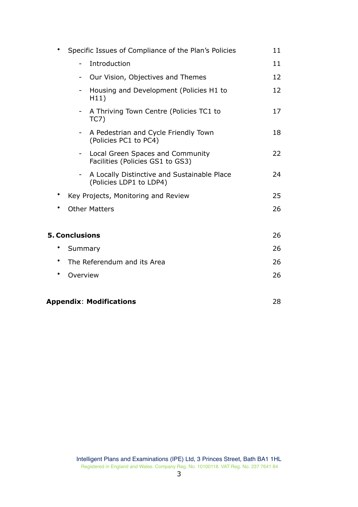| $\bullet$ | Specific Issues of Compliance of the Plan's Policies                   | 11 |
|-----------|------------------------------------------------------------------------|----|
|           | Introduction<br>$\overline{\phantom{0}}$                               | 11 |
|           | Our Vision, Objectives and Themes                                      | 12 |
|           | Housing and Development (Policies H1 to<br>H11)                        | 12 |
|           | A Thriving Town Centre (Policies TC1 to<br>TC7)                        | 17 |
|           | A Pedestrian and Cycle Friendly Town<br>(Policies PC1 to PC4)          | 18 |
|           | Local Green Spaces and Community<br>Facilities (Policies GS1 to GS3)   | 22 |
|           | A Locally Distinctive and Sustainable Place<br>(Policies LDP1 to LDP4) | 24 |
| $\bullet$ | Key Projects, Monitoring and Review                                    | 25 |
| ٠         | <b>Other Matters</b>                                                   | 26 |
|           | <b>5. Conclusions</b>                                                  | 26 |
| ٠         | Summary                                                                | 26 |
| ٠         | The Referendum and its Area                                            | 26 |
| $\bullet$ | Overview                                                               | 26 |
|           | <b>Appendix: Modifications</b>                                         | 28 |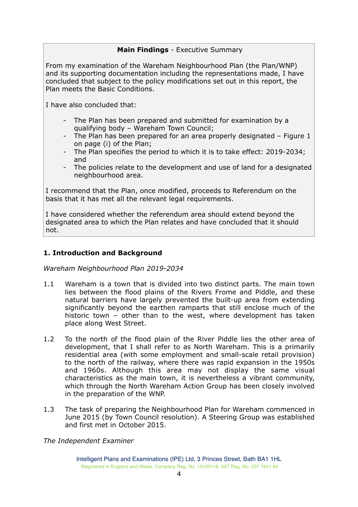## **Main Findings** - Executive Summary

From my examination of the Wareham Neighbourhood Plan (the Plan/WNP) and its supporting documentation including the representations made, I have concluded that subject to the policy modifications set out in this report, the Plan meets the Basic Conditions.

I have also concluded that:

- The Plan has been prepared and submitted for examination by a qualifying body – Wareham Town Council;
- The Plan has been prepared for an area properly designated Figure 1 on page (i) of the Plan;
- The Plan specifies the period to which it is to take effect: 2019-2034; and
- The policies relate to the development and use of land for a designated neighbourhood area.

I recommend that the Plan, once modified, proceeds to Referendum on the basis that it has met all the relevant legal requirements.

I have considered whether the referendum area should extend beyond the designated area to which the Plan relates and have concluded that it should not.

## **1. Introduction and Background**

*Wareham Neighbourhood Plan 2019-2034* 

- 1.1 Wareham is a town that is divided into two distinct parts. The main town lies between the flood plains of the Rivers Frome and Piddle, and these natural barriers have largely prevented the built-up area from extending significantly beyond the earthen ramparts that still enclose much of the historic town – other than to the west, where development has taken place along West Street.
- 1.2 To the north of the flood plain of the River Piddle lies the other area of development, that I shall refer to as North Wareham. This is a primarily residential area (with some employment and small-scale retail provision) to the north of the railway, where there was rapid expansion in the 1950s and 1960s. Although this area may not display the same visual characteristics as the main town, it is nevertheless a vibrant community, which through the North Wareham Action Group has been closely involved in the preparation of the WNP.
- 1.3 The task of preparing the Neighbourhood Plan for Wareham commenced in June 2015 (by Town Council resolution). A Steering Group was established and first met in October 2015.

*The Independent Examiner*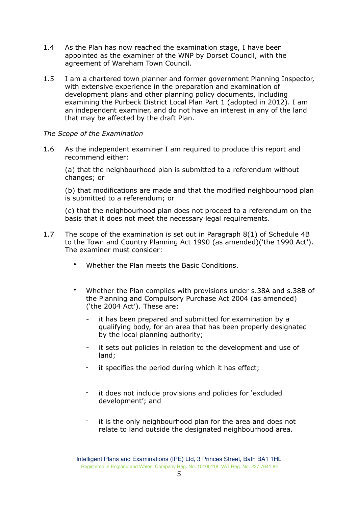- 1.4 As the Plan has now reached the examination stage, I have been appointed as the examiner of the WNP by Dorset Council, with the agreement of Wareham Town Council.
- 1.5 I am a chartered town planner and former government Planning Inspector, with extensive experience in the preparation and examination of development plans and other planning policy documents, including examining the Purbeck District Local Plan Part 1 (adopted in 2012). I am an independent examiner, and do not have an interest in any of the land that may be affected by the draft Plan.

#### *The Scope of the Examination*

1.6 As the independent examiner I am required to produce this report and recommend either:

(a) that the neighbourhood plan is submitted to a referendum without changes; or

(b) that modifications are made and that the modified neighbourhood plan is submitted to a referendum; or

(c) that the neighbourhood plan does not proceed to a referendum on the basis that it does not meet the necessary legal requirements.

- 1.7 The scope of the examination is set out in Paragraph 8(1) of Schedule 4B to the Town and Country Planning Act 1990 (as amended)('the 1990 Act'). The examiner must consider:
	- Whether the Plan meets the Basic Conditions.
	- Whether the Plan complies with provisions under s.38A and s.38B of the Planning and Compulsory Purchase Act 2004 (as amended) ('the 2004 Act'). These are:
		- it has been prepared and submitted for examination by a qualifying body, for an area that has been properly designated by the local planning authority;
		- it sets out policies in relation to the development and use of land;
		- it specifies the period during which it has effect;
		- it does not include provisions and policies for 'excluded development'; and
		- it is the only neighbourhood plan for the area and does not relate to land outside the designated neighbourhood area.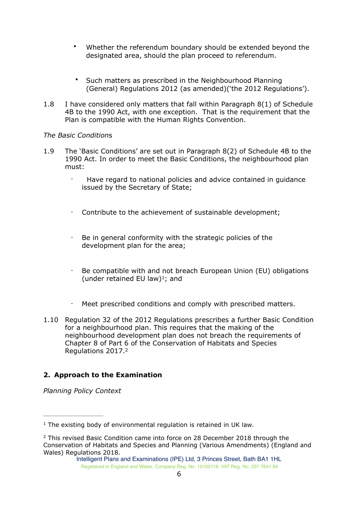- Whether the referendum boundary should be extended beyond the designated area, should the plan proceed to referendum.
- Such matters as prescribed in the Neighbourhood Planning (General) Regulations 2012 (as amended)('the 2012 Regulations').
- 1.8 I have considered only matters that fall within Paragraph 8(1) of Schedule 4B to the 1990 Act, with one exception. That is the requirement that the Plan is compatible with the Human Rights Convention.

## *The Basic Condition*s

- 1.9 The 'Basic Conditions' are set out in Paragraph 8(2) of Schedule 4B to the 1990 Act. In order to meet the Basic Conditions, the neighbourhood plan must:
	- Have regard to national policies and advice contained in guidance issued by the Secretary of State;
	- Contribute to the achievement of sustainable development;
	- Be in general conformity with the strategic policies of the development plan for the area;
	- Be compatible with and not breach European Union (EU) obligations (under retained EU law)<sup>1</sup>[;](#page-5-0) and
	- Meet prescribed conditions and comply with prescribed matters.
- <span id="page-5-2"></span>1.10 Regulation 32 of the 2012 Regulations prescribes a further Basic Condition for a neighbourhood plan. This requires that the making of the neighbourhood development plan does not breach the requirements of Chapter 8 of Part 6 of the Conservation of Habitats and Species Regulations 2017. [2](#page-5-1)

## <span id="page-5-3"></span>**2. Approach to the Examination**

*Planning Policy Context* 

<span id="page-5-0"></span> $1$  The existing body of environmental regulation is retained in UK law.

<span id="page-5-1"></span><sup>&</sup>lt;sup>[2](#page-5-3)</sup> This revised Basic Condition came into force on 28 December 2018 through the Conservation of Habitats and Species and Planning (Various Amendments) (England and Wales) Regulations 2018.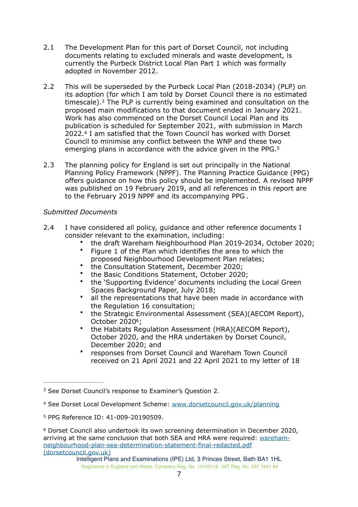- 2.1 The Development Plan for this part of Dorset Council, not including documents relating to excluded minerals and waste development, is currently the Purbeck District Local Plan Part 1 which was formally adopted in November 2012.
- <span id="page-6-4"></span>2.2 This will be superseded by the Purbeck Local Plan (2018-2034) (PLP) on its adoption (for which I am told by Dorset Council there is no estimated timescale).<sup>[3](#page-6-0)</sup> The PLP is currently being examined and consultation on the proposed main modifications to that document ended in January 2021. Work has also commenced on the Dorset Council Local Plan and its publication is scheduled for September 2021, with submission in March 2022.<sup>4</sup>I am satisfied that the Town Council has worked with Dorset Council to minimise any conflict between the WNP and these two emerging plans in accordance with the advice given in the PPG.<sup>5</sup>
- <span id="page-6-6"></span><span id="page-6-5"></span>2.3 The planning policy for England is set out principally in the National Planning Policy Framework (NPPF). The Planning Practice Guidance (PPG) offers guidance on how this policy should be implemented. A revised NPPF was published on 19 February 2019, and all references in this report are to the February 2019 NPPF and its accompanying PPG .

## *Submitted Documents*

- 2.4 I have considered all policy, quidance and other reference documents I consider relevant to the examination, including:
	- the draft Wareham Neighbourhood Plan 2019-2034, October 2020;
	- Figure 1 of the Plan which identifies the area to which the proposed Neighbourhood Development Plan relates;
	- the Consultation Statement, December 2020;
	- the Basic Conditions Statement, October 2020;
	- the 'Supporting Evidence' documents including the Local Green Spaces Background Paper, July 2018;
	- all the representations that have been made in accordance with the Regulation 16 consultation;
	- the Strategic Environmental Assessment (SEA)(AECOM Report), October 2020<sup>[6](#page-6-3)</sup>;
	- the Habitats Regulation Assessment (HRA)(AECOM Report), October 2020, and the HRA undertaken by Dorset Council, December 2020; and
	- responses from Dorset Council and Wareham Town Council received on 21 April 2021 and 22 April 2021 to my letter of 18

<span id="page-6-7"></span><span id="page-6-0"></span><sup>&</sup>lt;sup>[3](#page-6-4)</sup> See Dorset Council's response to Examiner's Question 2.

<span id="page-6-1"></span>[<sup>4</sup>](#page-6-5) See Dorset Local Development Scheme: [www.dorsetcouncil.gov.uk/planning](http://www.dorsetcouncil.gov.uk/planning)

<span id="page-6-2"></span><sup>&</sup>lt;sup>[5](#page-6-6)</sup> PPG Reference ID: 41-009-20190509.

<span id="page-6-3"></span> $6$  Dorset Council also undertook its own screening determination in December 2020, arriving at the same conclusion that both SEA and HRA were required: [wareham](https://www.dorsetcouncil.gov.uk/planning-buildings-land/planning-policy/purbeck/neighbourhood-planning-purbeck/pdfs/in-progress/wareham/supporting-evidence/wareham-neighbourhood-plan-sea-determination-statement-final-redacted.pdf)[neighbourhood-plan-sea-determination-statement-final-redacted.pdf](https://www.dorsetcouncil.gov.uk/planning-buildings-land/planning-policy/purbeck/neighbourhood-planning-purbeck/pdfs/in-progress/wareham/supporting-evidence/wareham-neighbourhood-plan-sea-determination-statement-final-redacted.pdf)  [\(dorsetcouncil.gov.uk\)](https://www.dorsetcouncil.gov.uk/planning-buildings-land/planning-policy/purbeck/neighbourhood-planning-purbeck/pdfs/in-progress/wareham/supporting-evidence/wareham-neighbourhood-plan-sea-determination-statement-final-redacted.pdf)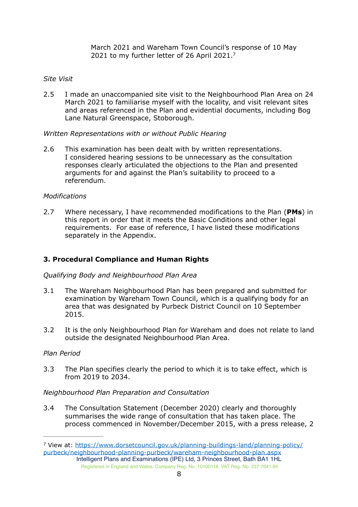<span id="page-7-1"></span>March 2021 and Wareham Town Council's response of 10 May 2021 to my further letter of 26 April 2021[.](#page-7-0)[7](#page-7-0)

### *Site Visit*

2.5 I made an unaccompanied site visit to the Neighbourhood Plan Area on 24 March 2021 to familiarise myself with the locality, and visit relevant sites and areas referenced in the Plan and evidential documents, including Bog Lane Natural Greenspace, Stoborough.

#### *Written Representations with or without Public Hearing*

2.6 This examination has been dealt with by written representations. I considered hearing sessions to be unnecessary as the consultation responses clearly articulated the objections to the Plan and presented arguments for and against the Plan's suitability to proceed to a referendum.

## *Modifications*

2.7 Where necessary, I have recommended modifications to the Plan (**PMs**) in this report in order that it meets the Basic Conditions and other legal requirements. For ease of reference, I have listed these modifications separately in the Appendix.

## **3. Procedural Compliance and Human Rights**

#### *Qualifying Body and Neighbourhood Plan Area*

- 3.1 The Wareham Neighbourhood Plan has been prepared and submitted for examination by Wareham Town Council, which is a qualifying body for an area that was designated by Purbeck District Council on 10 September 2015.
- 3.2 It is the only Neighbourhood Plan for Wareham and does not relate to land outside the designated Neighbourhood Plan Area.

#### *Plan Period*

3.3 The Plan specifies clearly the period to which it is to take effect, which is from 2019 to 2034.

#### *Neighbourhood Plan Preparation and Consultation*

3.4 The Consultation Statement (December 2020) clearly and thoroughly summarises the wide range of consultation that has taken place. The process commenced in November/December 2015, with a press release, 2

<span id="page-7-0"></span>[View at: https://www.dorsetcouncil.gov.uk/planning-buildings-land/planning-policy/](https://www.dorsetcouncil.gov.uk/planning-buildings-land/planning-policy/purbeck/neighbourhood-planning-purbeck/wareham-neighbourhood-plan.aspx) [7](#page-7-1) [purbeck/neighbourhood-planning-purbeck/wareham-neighbourhood-plan.aspx](https://www.dorsetcouncil.gov.uk/planning-buildings-land/planning-policy/purbeck/neighbourhood-planning-purbeck/wareham-neighbourhood-plan.aspx) Intelligent Plans and Examinations (IPE) Ltd, 3 Princes Street, Bath BA1 1HL

Registered in England and Wales. Company Reg. No. 10100118. VAT Reg. No. 237 7641 84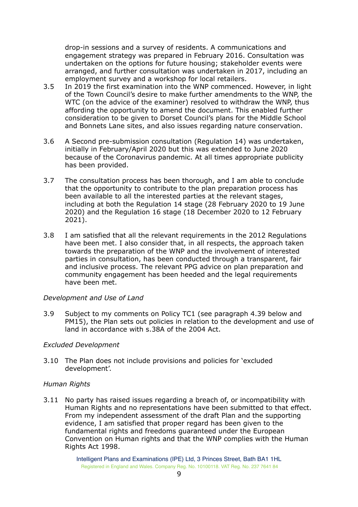drop-in sessions and a survey of residents. A communications and engagement strategy was prepared in February 2016. Consultation was undertaken on the options for future housing; stakeholder events were arranged, and further consultation was undertaken in 2017, including an employment survey and a workshop for local retailers.

- 3.5 In 2019 the first examination into the WNP commenced. However, in light of the Town Council's desire to make further amendments to the WNP, the WTC (on the advice of the examiner) resolved to withdraw the WNP, thus affording the opportunity to amend the document. This enabled further consideration to be given to Dorset Council's plans for the Middle School and Bonnets Lane sites, and also issues regarding nature conservation.
- 3.6 A Second pre-submission consultation (Regulation 14) was undertaken, initially in February/April 2020 but this was extended to June 2020 because of the Coronavirus pandemic. At all times appropriate publicity has been provided.
- 3.7 The consultation process has been thorough, and I am able to conclude that the opportunity to contribute to the plan preparation process has been available to all the interested parties at the relevant stages, including at both the Regulation 14 stage (28 February 2020 to 19 June 2020) and the Regulation 16 stage (18 December 2020 to 12 February 2021).
- 3.8 I am satisfied that all the relevant requirements in the 2012 Regulations have been met. I also consider that, in all respects, the approach taken towards the preparation of the WNP and the involvement of interested parties in consultation, has been conducted through a transparent, fair and inclusive process. The relevant PPG advice on plan preparation and community engagement has been heeded and the legal requirements have been met.

#### *Development and Use of Land*

3.9 Subject to my comments on Policy TC1 (see paragraph 4.39 below and PM15), the Plan sets out policies in relation to the development and use of land in accordance with s.38A of the 2004 Act.

## *Excluded Development*

3.10 The Plan does not include provisions and policies for 'excluded development'.

## *Human Rights*

3.11 No party has raised issues regarding a breach of, or incompatibility with Human Rights and no representations have been submitted to that effect. From my independent assessment of the draft Plan and the supporting evidence, I am satisfied that proper regard has been given to the fundamental rights and freedoms guaranteed under the European Convention on Human rights and that the WNP complies with the Human Rights Act 1998.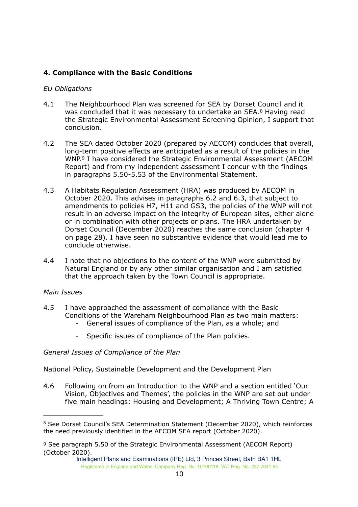## **4. Compliance with the Basic Conditions**

#### *EU Obligations*

- <span id="page-9-2"></span>4.1 The Neighbourhood Plan was screened for SEA by Dorset Council and it was concluded that it was necessary to undertake an SEA.<sup>[8](#page-9-0)</sup> Having read the Strategic Environmental Assessment Screening Opinion, I support that conclusion.
- <span id="page-9-3"></span>4.2 The SEA dated October 2020 (prepared by AECOM) concludes that overall, long-term positive effects are anticipated as a result of the policies in the WNP.<sup>[9](#page-9-1)</sup> I have considered the Strategic Environmental Assessment (AECOM Report) and from my independent assessment I concur with the findings in paragraphs 5.50-5.53 of the Environmental Statement.
- 4.3 A Habitats Regulation Assessment (HRA) was produced by AECOM in October 2020. This advises in paragraphs 6.2 and 6.3, that subject to amendments to policies H7, H11 and GS3, the policies of the WNP will not result in an adverse impact on the integrity of European sites, either alone or in combination with other projects or plans. The HRA undertaken by Dorset Council (December 2020) reaches the same conclusion (chapter 4 on page 28). I have seen no substantive evidence that would lead me to conclude otherwise.
- 4.4 I note that no objections to the content of the WNP were submitted by Natural England or by any other similar organisation and I am satisfied that the approach taken by the Town Council is appropriate.

#### *Main Issues*

- 4.5 I have approached the assessment of compliance with the Basic Conditions of the Wareham Neighbourhood Plan as two main matters:
	- General issues of compliance of the Plan, as a whole; and
	- Specific issues of compliance of the Plan policies.

#### *General Issues of Compliance of the Plan*

#### National Policy, Sustainable Development and the Development Plan

4.6 Following on from an Introduction to the WNP and a section entitled 'Our Vision, Objectives and Themes', the policies in the WNP are set out under five main headings: Housing and Development; A Thriving Town Centre; A

<span id="page-9-0"></span><sup>&</sup>lt;sup>[8](#page-9-2)</sup> See Dorset Council's SEA Determination Statement (December 2020), which reinforces the need previously identified in the AECOM SEA report (October 2020).

<span id="page-9-1"></span>[<sup>9</sup>](#page-9-3) See paragraph 5.50 of the Strategic Environmental Assessment (AECOM Report) (October 2020).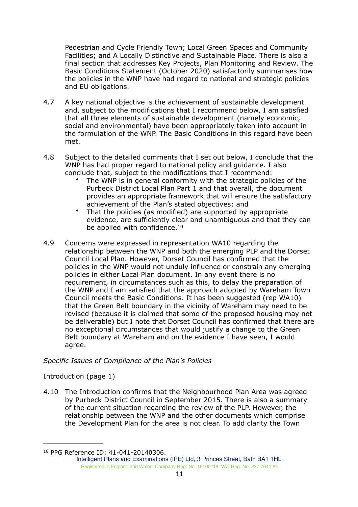Pedestrian and Cycle Friendly Town; Local Green Spaces and Community Facilities; and A Locally Distinctive and Sustainable Place. There is also a final section that addresses Key Projects, Plan Monitoring and Review. The Basic Conditions Statement (October 2020) satisfactorily summarises how the policies in the WNP have had regard to national and strategic policies and EU obligations.

- 4.7 A key national objective is the achievement of sustainable development and, subject to the modifications that I recommend below, I am satisfied that all three elements of sustainable development (namely economic, social and environmental) have been appropriately taken into account in the formulation of the WNP. The Basic Conditions in this regard have been met.
- 4.8 Subject to the detailed comments that I set out below, I conclude that the WNP has had proper regard to national policy and guidance. I also conclude that, subject to the modifications that I recommend:
	- The WNP is in general conformity with the strategic policies of the Purbeck District Local Plan Part 1 and that overall, the document provides an appropriate framework that will ensure the satisfactory achievement of the Plan's stated objectives; and
	- That the policies (as modified) are supported by appropriate evidence, are sufficiently clear and unambiguous and that they can be applied with confidence.<sup>[10](#page-10-0)</sup>
- <span id="page-10-1"></span>4.9 Concerns were expressed in representation WA10 regarding the relationship between the WNP and both the emerging PLP and the Dorset Council Local Plan. However, Dorset Council has confirmed that the policies in the WNP would not unduly influence or constrain any emerging policies in either Local Plan document. In any event there is no requirement, in circumstances such as this, to delay the preparation of the WNP and I am satisfied that the approach adopted by Wareham Town Council meets the Basic Conditions. It has been suggested (rep WA10) that the Green Belt boundary in the vicinity of Wareham may need to be revised (because it is claimed that some of the proposed housing may not be deliverable) but I note that Dorset Council has confirmed that there are no exceptional circumstances that would justify a change to the Green Belt boundary at Wareham and on the evidence I have seen, I would agree.

## *Specific Issues of Compliance of the Plan's Policies*

## Introduction (page 1)

4.10 The Introduction confirms that the Neighbourhood Plan Area was agreed by Purbeck District Council in September 2015. There is also a summary of the current situation regarding the review of the PLP. However, the relationship between the WNP and the other documents which comprise the Development Plan for the area is not clear. To add clarity the Town

<span id="page-10-0"></span><sup>&</sup>lt;sup>[10](#page-10-1)</sup> PPG Reference ID: 41-041-20140306.

Intelligent Plans and Examinations (IPE) Ltd, 3 Princes Street, Bath BA1 1HL Registered in England and Wales. Company Reg. No. 10100118. VAT Reg. No. 237 7641 84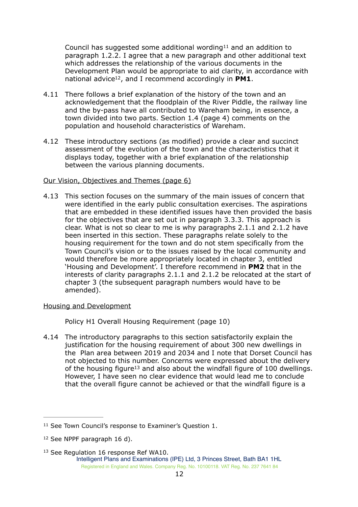<span id="page-11-4"></span><span id="page-11-3"></span>Council has suggested some additional wording  $11$  and an addition to paragraph 1.2.2. I agree that a new paragraph and other additional text which addresses the relationship of the various documents in the Development Plan would be appropriate to aid clarity, in accordance with national advice<sup>[12](#page-11-1)</sup>, and I recommend accordingly in **PM1**.

- 4.11 There follows a brief explanation of the history of the town and an acknowledgement that the floodplain of the River Piddle, the railway line and the by-pass have all contributed to Wareham being, in essence, a town divided into two parts. Section 1.4 (page 4) comments on the population and household characteristics of Wareham.
- 4.12 These introductory sections (as modified) provide a clear and succinct assessment of the evolution of the town and the characteristics that it displays today, together with a brief explanation of the relationship between the various planning documents.

#### Our Vision, Objectives and Themes (page 6)

4.13 This section focuses on the summary of the main issues of concern that were identified in the early public consultation exercises. The aspirations that are embedded in these identified issues have then provided the basis for the objectives that are set out in paragraph 3.3.3. This approach is clear. What is not so clear to me is why paragraphs 2.1.1 and 2.1.2 have been inserted in this section. These paragraphs relate solely to the housing requirement for the town and do not stem specifically from the Town Council's vision or to the issues raised by the local community and would therefore be more appropriately located in chapter 3, entitled 'Housing and Development'. I therefore recommend in **PM2** that in the interests of clarity paragraphs 2.1.1 and 2.1.2 be relocated at the start of chapter 3 (the subsequent paragraph numbers would have to be amended).

#### Housing and Development

<span id="page-11-5"></span>Policy H1 Overall Housing Requirement (page 10)

4.14 The introductory paragraphs to this section satisfactorily explain the justification for the housing requirement of about 300 new dwellings in the Plan area between 2019 and 2034 and I note that Dorset Council has not objected to this number. Concerns were expressed about the delivery of th[e](#page-11-2) housing figure<sup>[13](#page-11-2)</sup> and also about the windfall figure of 100 dwellings. However, I have seen no clear evidence that would lead me to conclude that the overall figure cannot be achieved or that the windfall figure is a

<span id="page-11-2"></span> $13$  See Regulation 16 response Ref WA10. Intelligent Plans and Examinations (IPE) Ltd, 3 Princes Street, Bath BA1 1HL Registered in England and Wales. Company Reg. No. 10100118. VAT Reg. No. 237 7641 84

<span id="page-11-0"></span> $11$  See Town Council's response to Examiner's Ouestion 1.

<span id="page-11-1"></span> $12$  See NPPF paragraph 16 d).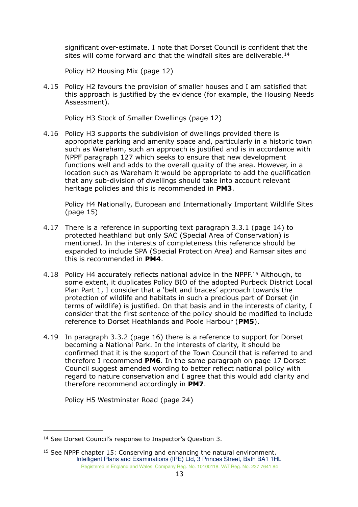<span id="page-12-2"></span>significant over-estimate. I note that Dorset Council is confident that the sites will come forward and that the windfall sites are deliverable.<sup>14</sup>

Policy H2 Housing Mix (page 12)

4.15 Policy H2 favours the provision of smaller houses and I am satisfied that this approach is justified by the evidence (for example, the Housing Needs Assessment).

Policy H3 Stock of Smaller Dwellings (page 12)

4.16 Policy H3 supports the subdivision of dwellings provided there is appropriate parking and amenity space and, particularly in a historic town such as Wareham, such an approach is justified and is in accordance with NPPF paragraph 127 which seeks to ensure that new development functions well and adds to the overall quality of the area. However, in a location such as Wareham it would be appropriate to add the qualification that any sub-division of dwellings should take into account relevant heritage policies and this is recommended in **PM3**.

<span id="page-12-3"></span>Policy H4 Nationally, European and Internationally Important Wildlife Sites (page 15)

- 4.17 There is a reference in supporting text paragraph 3.3.1 (page 14) to protected heathland but only SAC (Special Area of Conservation) is mentioned. In the interests of completeness this reference should be expanded to include SPA (Special Protection Area) and Ramsar sites and this is recommended in **PM4**.
- 4[.](#page-12-1)18 Policy H4 accurately reflects national advice in the NPPF.<sup>[15](#page-12-1)</sup> Although, to some extent, it duplicates Policy BIO of the adopted Purbeck District Local Plan Part 1, I consider that a 'belt and braces' approach towards the protection of wildlife and habitats in such a precious part of Dorset (in terms of wildlife) is justified. On that basis and in the interests of clarity, I consider that the first sentence of the policy should be modified to include reference to Dorset Heathlands and Poole Harbour (**PM5**).
- 4.19 In paragraph 3.3.2 (page 16) there is a reference to support for Dorset becoming a National Park. In the interests of clarity, it should be confirmed that it is the support of the Town Council that is referred to and therefore I recommend **PM6**. In the same paragraph on page 17 Dorset Council suggest amended wording to better reflect national policy with regard to nature conservation and I agree that this would add clarity and therefore recommend accordingly in **PM7**.

Policy H5 Westminster Road (page 24)

<span id="page-12-0"></span><sup>&</sup>lt;sup>[14](#page-12-2)</sup> See Dorset Council's response to Inspector's Question 3.

<span id="page-12-1"></span> $15$  See NPPF chapter 15: Conserving and enhancing the natural environment. Intelligent Plans and Examinations (IPE) Ltd, 3 Princes Street, Bath BA1 1HL Registered in England and Wales. Company Reg. No. 10100118. VAT Reg. No. 237 7641 84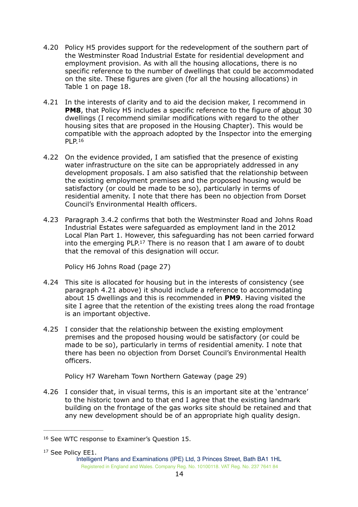- 4.20 Policy H5 provides support for the redevelopment of the southern part of the Westminster Road Industrial Estate for residential development and employment provision. As with all the housing allocations, there is no specific reference to the number of dwellings that could be accommodated on the site. These figures are given (for all the housing allocations) in Table 1 on page 18.
- 4.21 In the interests of clarity and to aid the decision maker, I recommend in **PM8**, that Policy H5 includes a specific reference to the figure of about 30 dwellings (I recommend similar modifications with regard to the other housing sites that are proposed in the Housing Chapter). This would be compatible with the approach adopted by the Inspector into the emerging PLP. [16](#page-13-0)
- <span id="page-13-2"></span>4.22 On the evidence provided, I am satisfied that the presence of existing water infrastructure on the site can be appropriately addressed in any development proposals. I am also satisfied that the relationship between the existing employment premises and the proposed housing would be satisfactory (or could be made to be so), particularly in terms of residential amenity. I note that there has been no objection from Dorset Council's Environmental Health officers.
- 4.23 Paragraph 3.4.2 confirms that both the Westminster Road and Johns Road Industrial Estates were safeguarded as employment land in the 2012 Local Plan Part 1. However, this safeguarding has not been carried forward into the emerging PLP.<sup>[17](#page-13-1)</sup> There is no reason that I am aware of to doubt that the removal of this designation will occur.

<span id="page-13-3"></span>Policy H6 Johns Road (page 27)

- 4.24 This site is allocated for housing but in the interests of consistency (see paragraph 4.21 above) it should include a reference to accommodating about 15 dwellings and this is recommended in **PM9**. Having visited the site I agree that the retention of the existing trees along the road frontage is an important objective.
- 4.25 I consider that the relationship between the existing employment premises and the proposed housing would be satisfactory (or could be made to be so), particularly in terms of residential amenity. I note that there has been no objection from Dorset Council's Environmental Health officers.

Policy H7 Wareham Town Northern Gateway (page 29)

4.26 I consider that, in visual terms, this is an important site at the 'entrance' to the historic town and to that end I agree that the existing landmark building on the frontage of the gas works site should be retained and that any new development should be of an appropriate high quality design.

<span id="page-13-1"></span><span id="page-13-0"></span><sup>&</sup>lt;sup>[16](#page-13-2)</sup> See WTC response to Examiner's Question 15.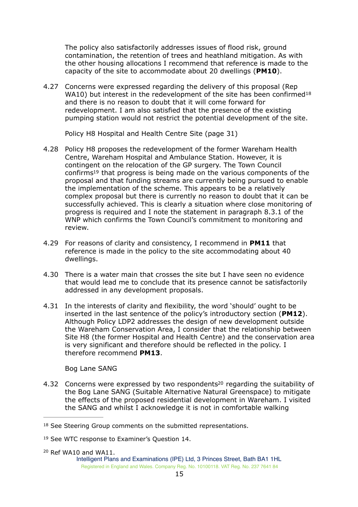The policy also satisfactorily addresses issues of flood risk, ground contamination, the retention of trees and heathland mitigation. As with the other housing allocations I recommend that reference is made to the capacity of the site to accommodate about 20 dwellings (**PM10**).

4.27 Concerns were expressed regarding the delivery of this proposal (Rep WA10) but interest in the redevelopment of the site has been confirmed<sup>[18](#page-14-0)</sup> and there is no reason to doubt that it will come forward for redevelopment. I am also satisfied that the presence of the existing pumping station would not restrict the potential development of the site.

<span id="page-14-4"></span><span id="page-14-3"></span>Policy H8 Hospital and Health Centre Site (page 31)

- 4.28 Policy H8 proposes the redevelopment of the former Wareham Health Centre, Wareham Hospital and Ambulance Station. However, it is contingent on the relocation of the GP surgery. The Town Council confirms<sup>19</sup> that progres[s](#page-14-1) is being made on the various components of the proposal and that funding streams are currently being pursued to enable the implementation of the scheme. This appears to be a relatively complex proposal but there is currently no reason to doubt that it can be successfully achieved. This is clearly a situation where close monitoring of progress is required and I note the statement in paragraph 8.3.1 of the WNP which confirms the Town Council's commitment to monitoring and review.
- 4.29 For reasons of clarity and consistency, I recommend in **PM11** that reference is made in the policy to the site accommodating about 40 dwellings.
- 4.30 There is a water main that crosses the site but I have seen no evidence that would lead me to conclude that its presence cannot be satisfactorily addressed in any development proposals.
- 4.31 In the interests of clarity and flexibility, the word 'should' ought to be inserted in the last sentence of the policy's introductory section (**PM12**). Although Policy LDP2 addresses the design of new development outside the Wareham Conservation Area, I consider that the relationship between Site H8 (the former Hospital and Health Centre) and the conservation area is very significant and therefore should be reflected in the policy. I therefore recommend **PM13**.

<span id="page-14-5"></span>Bog Lane SANG

4.32 Concern[s](#page-14-2) were expressed by two respondents<sup>[20](#page-14-2)</sup> regarding the suitability of the Bog Lane SANG (Suitable Alternative Natural Greenspace) to mitigate the effects of the proposed residential development in Wareham. I visited the SANG and whilst I acknowledge it is not in comfortable walking

<span id="page-14-0"></span><sup>&</sup>lt;sup>[18](#page-14-3)</sup> See Steering Group comments on the submitted representations.

<span id="page-14-1"></span><sup>&</sup>lt;sup>[19](#page-14-4)</sup> See WTC response to Examiner's Question 14.

<span id="page-14-2"></span> $20$  Ref WA10 and WA11.

Intelligent Plans and Examinations (IPE) Ltd, 3 Princes Street, Bath BA1 1HL Registered in England and Wales. Company Reg. No. 10100118. VAT Reg. No. 237 7641 84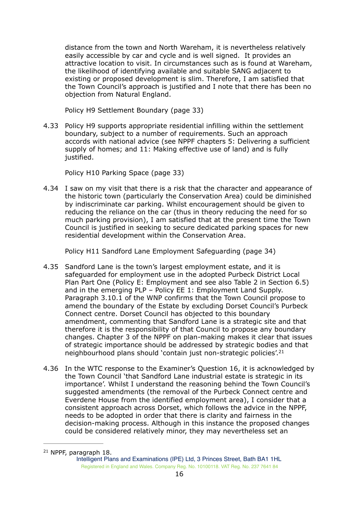distance from the town and North Wareham, it is nevertheless relatively easily accessible by car and cycle and is well signed. It provides an attractive location to visit. In circumstances such as is found at Wareham, the likelihood of identifying available and suitable SANG adjacent to existing or proposed development is slim. Therefore, I am satisfied that the Town Council's approach is justified and I note that there has been no objection from Natural England.

Policy H9 Settlement Boundary (page 33)

4.33 Policy H9 supports appropriate residential infilling within the settlement boundary, subject to a number of requirements. Such an approach accords with national advice (see NPPF chapters 5: Delivering a sufficient supply of homes; and 11: Making effective use of land) and is fully justified.

Policy H10 Parking Space (page 33)

4.34 I saw on my visit that there is a risk that the character and appearance of the historic town (particularly the Conservation Area) could be diminished by indiscriminate car parking. Whilst encouragement should be given to reducing the reliance on the car (thus in theory reducing the need for so much parking provision), I am satisfied that at the present time the Town Council is justified in seeking to secure dedicated parking spaces for new residential development within the Conservation Area.

Policy H11 Sandford Lane Employment Safeguarding (page 34)

- 4.35 Sandford Lane is the town's largest employment estate, and it is safeguarded for employment use in the adopted Purbeck District Local Plan Part One (Policy E: Employment and see also Table 2 in Section 6.5) and in the emerging PLP – Policy EE 1: Employment Land Supply. Paragraph 3.10.1 of the WNP confirms that the Town Council propose to amend the boundary of the Estate by excluding Dorset Council's Purbeck Connect centre. Dorset Council has objected to this boundary amendment, commenting that Sandford Lane is a strategic site and that therefore it is the responsibility of that Council to propose any boundary changes. Chapter 3 of the NPPF on plan-making makes it clear that issues of strategic importance should be addressed by strategic bodies and that neighbourhood plans should 'contain just non-strategic policies'[.21](#page-15-0)
- <span id="page-15-1"></span>4.36 In the WTC response to the Examiner's Question 16, it is acknowledged by the Town Council 'that Sandford Lane industrial estate is strategic in its importance'. Whilst I understand the reasoning behind the Town Council's suggested amendments (the removal of the Purbeck Connect centre and Everdene House from the identified employment area), I consider that a consistent approach across Dorset, which follows the advice in the NPPF, needs to be adopted in order that there is clarity and fairness in the decision-making process. Although in this instance the proposed changes could be considered relatively minor, they may nevertheless set an

<span id="page-15-0"></span> $21$  NPPF, paragraph 18. Intelligent Plans and Examinations (IPE) Ltd, 3 Princes Street, Bath BA1 1HL Registered in England and Wales. Company Reg. No. 10100118. VAT Reg. No. 237 7641 84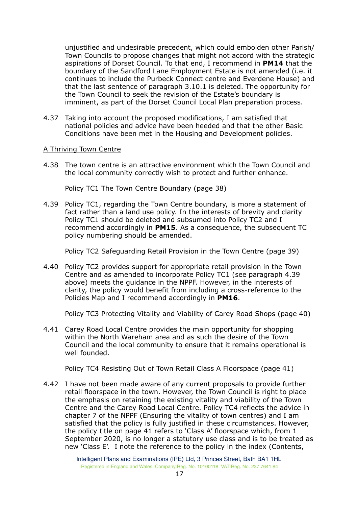unjustified and undesirable precedent, which could embolden other Parish/ Town Councils to propose changes that might not accord with the strategic aspirations of Dorset Council. To that end, I recommend in **PM14** that the boundary of the Sandford Lane Employment Estate is not amended (i.e. it continues to include the Purbeck Connect centre and Everdene House) and that the last sentence of paragraph 3.10.1 is deleted. The opportunity for the Town Council to seek the revision of the Estate's boundary is imminent, as part of the Dorset Council Local Plan preparation process.

4.37 Taking into account the proposed modifications, I am satisfied that national policies and advice have been heeded and that the other Basic Conditions have been met in the Housing and Development policies.

#### A Thriving Town Centre

4.38 The town centre is an attractive environment which the Town Council and the local community correctly wish to protect and further enhance.

Policy TC1 The Town Centre Boundary (page 38)

4.39 Policy TC1, regarding the Town Centre boundary, is more a statement of fact rather than a land use policy. In the interests of brevity and clarity Policy TC1 should be deleted and subsumed into Policy TC2 and I recommend accordingly in **PM15**. As a consequence, the subsequent TC policy numbering should be amended.

Policy TC2 Safeguarding Retail Provision in the Town Centre (page 39)

4.40 Policy TC2 provides support for appropriate retail provision in the Town Centre and as amended to incorporate Policy TC1 (see paragraph 4.39 above) meets the guidance in the NPPF. However, in the interests of clarity, the policy would benefit from including a cross-reference to the Policies Map and I recommend accordingly in **PM16**.

Policy TC3 Protecting Vitality and Viability of Carey Road Shops (page 40)

4.41 Carey Road Local Centre provides the main opportunity for shopping within the North Wareham area and as such the desire of the Town Council and the local community to ensure that it remains operational is well founded.

Policy TC4 Resisting Out of Town Retail Class A Floorspace (page 41)

4.42 I have not been made aware of any current proposals to provide further retail floorspace in the town. However, the Town Council is right to place the emphasis on retaining the existing vitality and viability of the Town Centre and the Carey Road Local Centre. Policy TC4 reflects the advice in chapter 7 of the NPPF (Ensuring the vitality of town centres) and I am satisfied that the policy is fully justified in these circumstances. However, the policy title on page 41 refers to 'Class A' floorspace which, from 1 September 2020, is no longer a statutory use class and is to be treated as new 'Class E'. I note the reference to the policy in the index (Contents,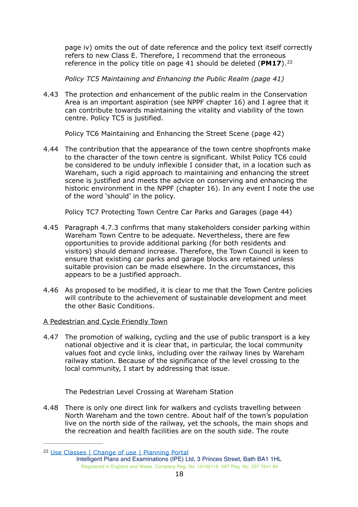<span id="page-17-1"></span>page iv) omits the out of date reference and the policy text itself correctly refers to new Class E. Therefore, I recommend that the erroneous reference in the policy title on page 41 should be deleted (**PM17**). [22](#page-17-0)

*Policy TC5 Maintaining and Enhancing the Public Realm (page 41)* 

4.43 The protection and enhancement of the public realm in the Conservation Area is an important aspiration (see NPPF chapter 16) and I agree that it can contribute towards maintaining the vitality and viability of the town centre. Policy TC5 is justified.

Policy TC6 Maintaining and Enhancing the Street Scene (page 42)

4.44 The contribution that the appearance of the town centre shopfronts make to the character of the town centre is significant. Whilst Policy TC6 could be considered to be unduly inflexible I consider that, in a location such as Wareham, such a rigid approach to maintaining and enhancing the street scene is justified and meets the advice on conserving and enhancing the historic environment in the NPPF (chapter 16). In any event I note the use of the word 'should' in the policy.

Policy TC7 Protecting Town Centre Car Parks and Garages (page 44)

- 4.45 Paragraph 4.7.3 confirms that many stakeholders consider parking within Wareham Town Centre to be adequate. Nevertheless, there are few opportunities to provide additional parking (for both residents and visitors) should demand increase. Therefore, the Town Council is keen to ensure that existing car parks and garage blocks are retained unless suitable provision can be made elsewhere. In the circumstances, this appears to be a justified approach.
- 4.46 As proposed to be modified, it is clear to me that the Town Centre policies will contribute to the achievement of sustainable development and meet the other Basic Conditions.

## A Pedestrian and Cycle Friendly Town

4.47 The promotion of walking, cycling and the use of public transport is a key national objective and it is clear that, in particular, the local community values foot and cycle links, including over the railway lines by Wareham railway station. Because of the significance of the level crossing to the local community, I start by addressing that issue.

The Pedestrian Level Crossing at Wareham Station

4.48 There is only one direct link for walkers and cyclists travelling between North Wareham and the town centre. About half of the town's population live on the north side of the railway, yet the schools, the main shops and the recreation and health facilities are on the south side. The route

<span id="page-17-0"></span><sup>22</sup> [Use Classes | Change of use | Planning Portal](https://www.planningportal.co.uk/info/200130/common_projects/9/change_of_use)

Intelligent Plans and Examinations (IPE) Ltd, 3 Princes Street, Bath BA1 1HL Registered in England and Wales. Company Reg. No. 10100118. VAT Reg. No. 237 7641 84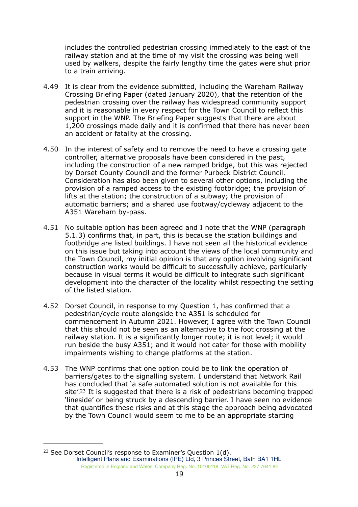includes the controlled pedestrian crossing immediately to the east of the railway station and at the time of my visit the crossing was being well used by walkers, despite the fairly lengthy time the gates were shut prior to a train arriving.

- 4.49 It is clear from the evidence submitted, including the Wareham Railway Crossing Briefing Paper (dated January 2020), that the retention of the pedestrian crossing over the railway has widespread community support and it is reasonable in every respect for the Town Council to reflect this support in the WNP. The Briefing Paper suggests that there are about 1,200 crossings made daily and it is confirmed that there has never been an accident or fatality at the crossing.
- 4.50 In the interest of safety and to remove the need to have a crossing gate controller, alternative proposals have been considered in the past, including the construction of a new ramped bridge, but this was rejected by Dorset County Council and the former Purbeck District Council. Consideration has also been given to several other options, including the provision of a ramped access to the existing footbridge; the provision of lifts at the station; the construction of a subway; the provision of automatic barriers; and a shared use footway/cycleway adjacent to the A351 Wareham by-pass.
- 4.51 No suitable option has been agreed and I note that the WNP (paragraph 5.1.3) confirms that, in part, this is because the station buildings and footbridge are listed buildings. I have not seen all the historical evidence on this issue but taking into account the views of the local community and the Town Council, my initial opinion is that any option involving significant construction works would be difficult to successfully achieve, particularly because in visual terms it would be difficult to integrate such significant development into the character of the locality whilst respecting the setting of the listed station.
- 4.52 Dorset Council, in response to my Question 1, has confirmed that a pedestrian/cycle route alongside the A351 is scheduled for commencement in Autumn 2021. However, I agree with the Town Council that this should not be seen as an alternative to the foot crossing at the railway station. It is a significantly longer route; it is not level; it would run beside the busy A351; and it would not cater for those with mobility impairments wishing to change platforms at the station.
- <span id="page-18-1"></span>4.53 The WNP confirms that one option could be to link the operation of barriers/gates to the signalling system. I understand that Network Rail has concluded that 'a safe automated solution is not available for this site'.<sup>[23](#page-18-0)</sup> It is suggested that there is a risk of pedestrians becoming trapped 'lineside' or being struck by a descending barrier. I have seen no evidence that quantifies these risks and at this stage the approach being advocated by the Town Council would seem to me to be an appropriate starting

<span id="page-18-0"></span><sup>&</sup>lt;sup>[23](#page-18-1)</sup> See Dorset Council's response to Examiner's Question  $1(d)$ . Intelligent Plans and Examinations (IPE) Ltd, 3 Princes Street, Bath BA1 1HL Registered in England and Wales. Company Reg. No. 10100118. VAT Reg. No. 237 7641 84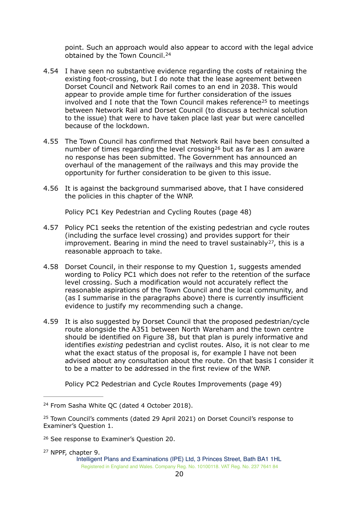<span id="page-19-5"></span><span id="page-19-4"></span>point. Such an approach would also appear to accord with the legal advice obtained by the Town Council. [24](#page-19-0)

- 4.54 I have seen no substantive evidence regarding the costs of retaining the existing foot-crossing, but I do note that the lease agreement between Dorset Council and Network Rail comes to an end in 2038. This would appear to provide ample time for further consideration of the issues involved and I note that the Town Council makes reference<sup>[25](#page-19-1)</sup> to meetings between Network Rail and Dorset Council (to discuss a technical solution to the issue) that were to have taken place last year but were cancelled because of the lockdown.
- 4.55 The Town Council has confirmed that Network Rail have been consulted a number of times regarding the level crossing<sup>[26](#page-19-2)</sup> but as far as I am aware no response has been submitted. The Government has announced an overhaul of the management of the railways and this may provide the opportunity for further consideration to be given to this issue.
- 4.56 It is against the background summarised above, that I have considered the policies in this chapter of the WNP.

<span id="page-19-7"></span><span id="page-19-6"></span>Policy PC1 Key Pedestrian and Cycling Routes (page 48)

- 4.57 Policy PC1 seeks the retention of the existing pedestrian and cycle routes (including the surface level crossing) and provides support for their improvement. Bearing in mind the need to travel sustainably  $27$ [,](#page-19-3) this is a reasonable approach to take.
- 4.58 Dorset Council, in their response to my Question 1, suggests amended wording to Policy PC1 which does not refer to the retention of the surface level crossing. Such a modification would not accurately reflect the reasonable aspirations of the Town Council and the local community, and (as I summarise in the paragraphs above) there is currently insufficient evidence to justify my recommending such a change.
- 4.59 It is also suggested by Dorset Council that the proposed pedestrian/cycle route alongside the A351 between North Wareham and the town centre should be identified on Figure 38, but that plan is purely informative and identifies *existing* pedestrian and cyclist routes. Also, it is not clear to me what the exact status of the proposal is, for example I have not been advised about any consultation about the route. On that basis I consider it to be a matter to be addressed in the first review of the WNP.

Policy PC2 Pedestrian and Cycle Routes Improvements (page 49)

<span id="page-19-3"></span><sup>[27](#page-19-7)</sup> NPPF, chapter 9. Intelligent Plans and Examinations (IPE) Ltd, 3 Princes Street, Bath BA1 1HL

Registered in England and Wales. Company Reg. No. 10100118. VAT Reg. No. 237 7641 84

<span id="page-19-0"></span><sup>&</sup>lt;sup>[24](#page-19-4)</sup> From Sasha White QC (dated 4 October 2018).

<span id="page-19-1"></span> $25$  Town Council's comments (dated 29 April 2021) on Dorset Council's response to Examiner's Question 1.

<span id="page-19-2"></span><sup>&</sup>lt;sup>[26](#page-19-6)</sup> See response to Examiner's Question 20.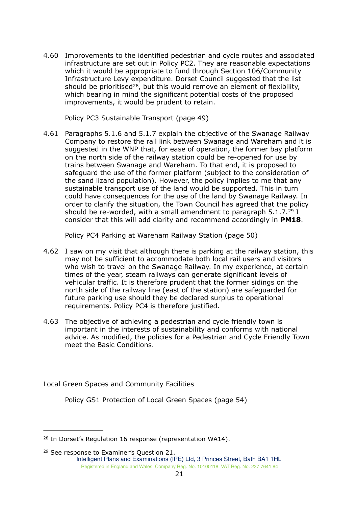4.60 Improvements to the identified pedestrian and cycle routes and associated infrastructure are set out in Policy PC2. They are reasonable expectations which it would be appropriate to fund through Section 106/Community Infrastructure Levy expenditure. Dorset Council suggested that the list should be prioritised<sup>[28](#page-20-0)</sup>, but this would remove an element of flexibility, which bearing in mind the significant potential costs of the proposed improvements, it would be prudent to retain.

<span id="page-20-2"></span>Policy PC3 Sustainable Transport (page 49)

4.61 Paragraphs 5.1.6 and 5.1.7 explain the objective of the Swanage Railway Company to restore the rail link between Swanage and Wareham and it is suggested in the WNP that, for ease of operation, the former bay platform on the north side of the railway station could be re-opened for use by trains between Swanage and Wareham. To that end, it is proposed to safeguard the use of the former platform (subject to the consideration of the sand lizard population). However, the policy implies to me that any sustainable transport use of the land would be supported. This in turn could have consequences for the use of the land by Swanage Railway. In order to clarify the situation, the Town Council has agreed that the policy should be re-worded, with a small amendment to paragraph  $5.1.7.^{29}$  $5.1.7.^{29}$  $5.1.7.^{29}$  I consider that this will add clarity and recommend accordingly in **PM18**.

<span id="page-20-3"></span>Policy PC4 Parking at Wareham Railway Station (page 50)

- 4.62 I saw on my visit that although there is parking at the railway station, this may not be sufficient to accommodate both local rail users and visitors who wish to travel on the Swanage Railway. In my experience, at certain times of the year, steam railways can generate significant levels of vehicular traffic. It is therefore prudent that the former sidings on the north side of the railway line (east of the station) are safeguarded for future parking use should they be declared surplus to operational requirements. Policy PC4 is therefore justified.
- 4.63 The objective of achieving a pedestrian and cycle friendly town is important in the interests of sustainability and conforms with national advice. As modified, the policies for a Pedestrian and Cycle Friendly Town meet the Basic Conditions.

Local Green Spaces and Community Facilities

Policy GS1 Protection of Local Green Spaces (page 54)

<span id="page-20-0"></span> $28$  In Dorset's Regulation 16 response (representation WA14).

<span id="page-20-1"></span> $29$  See response to Examiner's Question 21. Intelligent Plans and Examinations (IPE) Ltd, 3 Princes Street, Bath BA1 1HL Registered in England and Wales. Company Reg. No. 10100118. VAT Reg. No. 237 7641 84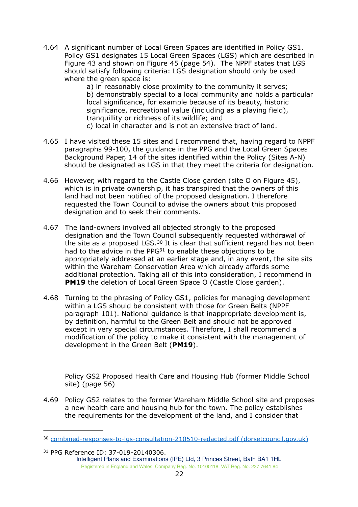4.64 A significant number of Local Green Spaces are identified in Policy GS1. Policy GS1 designates 15 Local Green Spaces (LGS) which are described in Figure 43 and shown on Figure 45 (page 54). The NPPF states that LGS should satisfy following criteria: LGS designation should only be used where the green space is:

a) in reasonably close proximity to the community it serves; b) demonstrably special to a local community and holds a particular local significance, for example because of its beauty, historic significance, recreational value (including as a playing field), tranquillity or richness of its wildlife; and c) local in character and is not an extensive tract of land.

- 4.65 I have visited these 15 sites and I recommend that, having regard to NPPF paragraphs 99-100, the guidance in the PPG and the Local Green Spaces Background Paper, 14 of the sites identified within the Policy (Sites A-N) should be designated as LGS in that they meet the criteria for designation.
- 4.66 However, with regard to the Castle Close garden (site O on Figure 45), which is in private ownership, it has transpired that the owners of this land had not been notified of the proposed designation. I therefore requested the Town Council to advise the owners about this proposed designation and to seek their comments.
- <span id="page-21-3"></span><span id="page-21-2"></span>4.67 The land-owners involved all objected strongly to the proposed designation and the Town Council subsequently requested withdrawal of thesite as a proposed LGS.  $30$  It is clear that sufficient regard has not been had to the advice in the PPG $31$  to enable these objections to be appropriately addressed at an earlier stage and, in any event, the site sits within the Wareham Conservation Area which already affords some additional protection. Taking all of this into consideration, I recommend in **PM19** the deletion of Local Green Space O (Castle Close garden).
- 4.68 Turning to the phrasing of Policy GS1, policies for managing development within a LGS should be consistent with those for Green Belts (NPPF paragraph 101). National guidance is that inappropriate development is, by definition, harmful to the Green Belt and should not be approved except in very special circumstances. Therefore, I shall recommend a modification of the policy to make it consistent with the management of development in the Green Belt (**PM19**).

Policy GS2 Proposed Health Care and Housing Hub (former Middle School site) (page 56)

4.69 Policy GS2 relates to the former Wareham Middle School site and proposes a new health care and housing hub for the town. The policy establishes the requirements for the development of the land, and I consider that

<span id="page-21-1"></span><sup>[31](#page-21-3)</sup> PPG Reference ID: 37-019-20140306. Intelligent Plans and Examinations (IPE) Ltd, 3 Princes Street, Bath BA1 1HL Registered in England and Wales. Company Reg. No. 10100118. VAT Reg. No. 237 7641 84

<span id="page-21-0"></span><sup>&</sup>lt;sup>30</sup> [combined-responses-to-lgs-consultation-210510-redacted.pdf \(dorsetcouncil.gov.uk\)](https://www.dorsetcouncil.gov.uk/planning-buildings-land/planning-policy/purbeck/neighbourhood-planning-purbeck/pdfs/in-progress/wareham/examination/combined-responses-to-lgs-consultation-210510-redacted.pdf)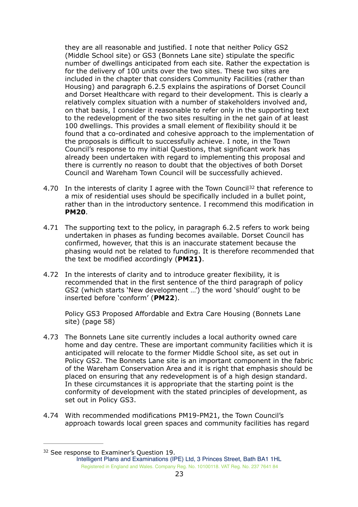they are all reasonable and justified. I note that neither Policy GS2 (Middle School site) or GS3 (Bonnets Lane site) stipulate the specific number of dwellings anticipated from each site. Rather the expectation is for the delivery of 100 units over the two sites. These two sites are included in the chapter that considers Community Facilities (rather than Housing) and paragraph 6.2.5 explains the aspirations of Dorset Council and Dorset Healthcare with regard to their development. This is clearly a relatively complex situation with a number of stakeholders involved and, on that basis, I consider it reasonable to refer only in the supporting text to the redevelopment of the two sites resulting in the net gain of at least 100 dwellings. This provides a small element of flexibility should it be found that a co-ordinated and cohesive approach to the implementation of the proposals is difficult to successfully achieve. I note, in the Town Council's response to my initial Questions, that significant work has already been undertaken with regard to implementing this proposal and there is currently no reason to doubt that the objectives of both Dorset Council and Wareham Town Council will be successfully achieved.

- <span id="page-22-1"></span>4.70 In the interests of clarity I agree with the Town Council<sup>[32](#page-22-0)</sup> that reference to a mix of residential uses should be specifically included in a bullet point, rather than in the introductory sentence. I recommend this modification in **PM20**.
- 4.71 The supporting text to the policy, in paragraph 6.2.5 refers to work being undertaken in phases as funding becomes available. Dorset Council has confirmed, however, that this is an inaccurate statement because the phasing would not be related to funding. It is therefore recommended that the text be modified accordingly (**PM21)**.
- 4.72 In the interests of clarity and to introduce greater flexibility, it is recommended that in the first sentence of the third paragraph of policy GS2 (which starts 'New development …') the word 'should' ought to be inserted before 'conform' (**PM22**).

Policy GS3 Proposed Affordable and Extra Care Housing (Bonnets Lane site) (page 58)

- 4.73 The Bonnets Lane site currently includes a local authority owned care home and day centre. These are important community facilities which it is anticipated will relocate to the former Middle School site, as set out in Policy GS2. The Bonnets Lane site is an important component in the fabric of the Wareham Conservation Area and it is right that emphasis should be placed on ensuring that any redevelopment is of a high design standard. In these circumstances it is appropriate that the starting point is the conformity of development with the stated principles of development, as set out in Policy GS3.
- 4.74 With recommended modifications PM19-PM21, the Town Council's approach towards local green spaces and community facilities has regard

<span id="page-22-0"></span><sup>&</sup>lt;sup>[32](#page-22-1)</sup> See response to Examiner's Question 19.

Intelligent Plans and Examinations (IPE) Ltd, 3 Princes Street, Bath BA1 1HL Registered in England and Wales. Company Reg. No. 10100118. VAT Reg. No. 237 7641 84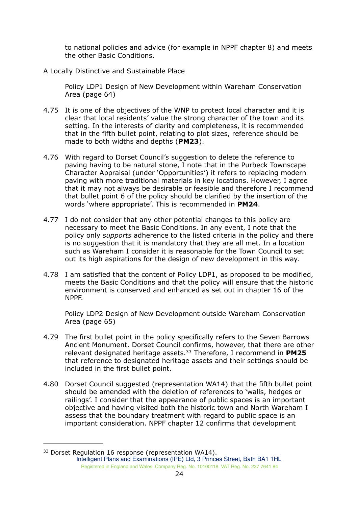to national policies and advice (for example in NPPF chapter 8) and meets the other Basic Conditions.

#### A Locally Distinctive and Sustainable Place

Policy LDP1 Design of New Development within Wareham Conservation Area (page 64)

- 4.75 It is one of the objectives of the WNP to protect local character and it is clear that local residents' value the strong character of the town and its setting. In the interests of clarity and completeness, it is recommended that in the fifth bullet point, relating to plot sizes, reference should be made to both widths and depths (**PM23**).
- 4.76 With regard to Dorset Council's suggestion to delete the reference to paving having to be natural stone, I note that in the Purbeck Townscape Character Appraisal (under 'Opportunities') it refers to replacing modern paving with more traditional materials in key locations. However, I agree that it may not always be desirable or feasible and therefore I recommend that bullet point 6 of the policy should be clarified by the insertion of the words 'where appropriate'. This is recommended in **PM24**.
- 4.77 I do not consider that any other potential changes to this policy are necessary to meet the Basic Conditions. In any event, I note that the policy only *supports* adherence to the listed criteria in the policy and there is no suggestion that it is mandatory that they are all met. In a location such as Wareham I consider it is reasonable for the Town Council to set out its high aspirations for the design of new development in this way.
- 4.78 I am satisfied that the content of Policy LDP1, as proposed to be modified, meets the Basic Conditions and that the policy will ensure that the historic environment is conserved and enhanced as set out in chapter 16 of the NPPF.

<span id="page-23-1"></span>Policy LDP2 Design of New Development outside Wareham Conservation Area (page 65)

- 4.79 The first bullet point in the policy specifically refers to the Seven Barrows Ancient Monument. Dorset Council confirms, however, that there are other relevant designated heritage assets[.33](#page-23-0) Therefore, I recommend in **PM25** that reference to designated heritage assets and their settings should be included in the first bullet point.
- 4.80 Dorset Council suggested (representation WA14) that the fifth bullet point should be amended with the deletion of references to 'walls, hedges or railings'. I consider that the appearance of public spaces is an important objective and having visited both the historic town and North Wareham I assess that the boundary treatment with regard to public space is an important consideration. NPPF chapter 12 confirms that development

<span id="page-23-0"></span><sup>&</sup>lt;sup>[33](#page-23-1)</sup> Dorset Regulation 16 response (representation WA14). Intelligent Plans and Examinations (IPE) Ltd, 3 Princes Street, Bath BA1 1HL Registered in England and Wales. Company Reg. No. 10100118. VAT Reg. No. 237 7641 84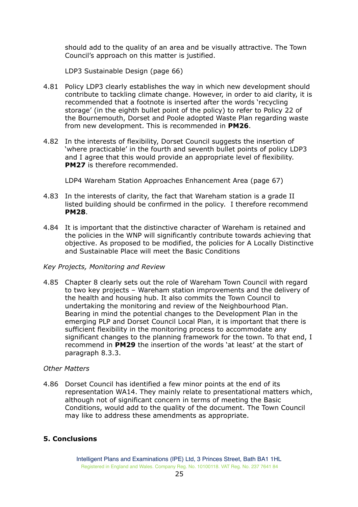should add to the quality of an area and be visually attractive. The Town Council's approach on this matter is justified.

LDP3 Sustainable Design (page 66)

- 4.81 Policy LDP3 clearly establishes the way in which new development should contribute to tackling climate change. However, in order to aid clarity, it is recommended that a footnote is inserted after the words 'recycling storage' (in the eighth bullet point of the policy) to refer to Policy 22 of the Bournemouth, Dorset and Poole adopted Waste Plan regarding waste from new development. This is recommended in **PM26**.
- 4.82 In the interests of flexibility, Dorset Council suggests the insertion of 'where practicable' in the fourth and seventh bullet points of policy LDP3 and I agree that this would provide an appropriate level of flexibility. **PM27** is therefore recommended.

LDP4 Wareham Station Approaches Enhancement Area (page 67)

- 4.83 In the interests of clarity, the fact that Wareham station is a grade II listed building should be confirmed in the policy. I therefore recommend **PM28**.
- 4.84 It is important that the distinctive character of Wareham is retained and the policies in the WNP will significantly contribute towards achieving that objective. As proposed to be modified, the policies for A Locally Distinctive and Sustainable Place will meet the Basic Conditions

#### *Key Projects, Monitoring and Review*

4.85 Chapter 8 clearly sets out the role of Wareham Town Council with regard to two key projects – Wareham station improvements and the delivery of the health and housing hub. It also commits the Town Council to undertaking the monitoring and review of the Neighbourhood Plan. Bearing in mind the potential changes to the Development Plan in the emerging PLP and Dorset Council Local Plan, it is important that there is sufficient flexibility in the monitoring process to accommodate any significant changes to the planning framework for the town. To that end, I recommend in **PM29** the insertion of the words 'at least' at the start of paragraph 8.3.3.

#### *Other Matters*

4.86 Dorset Council has identified a few minor points at the end of its representation WA14. They mainly relate to presentational matters which, although not of significant concern in terms of meeting the Basic Conditions, would add to the quality of the document. The Town Council may like to address these amendments as appropriate.

## **5. Conclusions**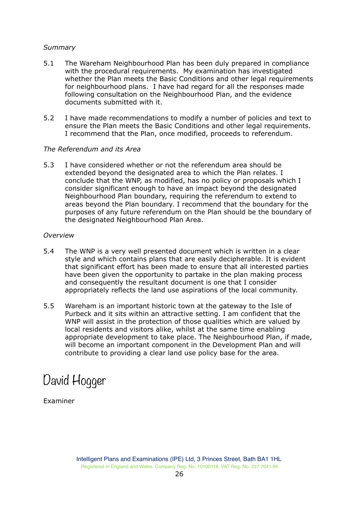## *Summary*

- 5.1 The Wareham Neighbourhood Plan has been duly prepared in compliance with the procedural requirements. My examination has investigated whether the Plan meets the Basic Conditions and other legal requirements for neighbourhood plans. I have had regard for all the responses made following consultation on the Neighbourhood Plan, and the evidence documents submitted with it.
- 5.2 I have made recommendations to modify a number of policies and text to ensure the Plan meets the Basic Conditions and other legal requirements. I recommend that the Plan, once modified, proceeds to referendum.

#### *The Referendum and its Area*

5.3 I have considered whether or not the referendum area should be extended beyond the designated area to which the Plan relates. I conclude that the WNP, as modified, has no policy or proposals which I consider significant enough to have an impact beyond the designated Neighbourhood Plan boundary, requiring the referendum to extend to areas beyond the Plan boundary. I recommend that the boundary for the purposes of any future referendum on the Plan should be the boundary of the designated Neighbourhood Plan Area.

#### *Overview*

- 5.4 The WNP is a very well presented document which is written in a clear style and which contains plans that are easily decipherable. It is evident that significant effort has been made to ensure that all interested parties have been given the opportunity to partake in the plan making process and consequently the resultant document is one that I consider appropriately reflects the land use aspirations of the local community.
- 5.5 Wareham is an important historic town at the gateway to the Isle of Purbeck and it sits within an attractive setting. I am confident that the WNP will assist in the protection of those qualities which are valued by local residents and visitors alike, whilst at the same time enabling appropriate development to take place. The Neighbourhood Plan, if made, will become an important component in the Development Plan and will contribute to providing a clear land use policy base for the area.

# David Hogger

Examiner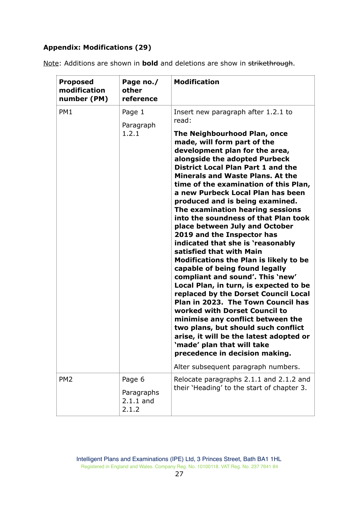## **Appendix: Modifications (29)**

|  | Note: Additions are shown in <b>bold</b> and deletions are show in strikethrough. |  |  |  |
|--|-----------------------------------------------------------------------------------|--|--|--|
|  |                                                                                   |  |  |  |

| <b>Proposed</b><br>modification<br>number (PM) | Page no./<br>other<br>reference              | <b>Modification</b>                                                                                                                                                                                                                                                                                                                                                                                                                                                                                                                                                                                                                                                                                                                                                                                                                                                                                                                                                                                                                                                                                                |
|------------------------------------------------|----------------------------------------------|--------------------------------------------------------------------------------------------------------------------------------------------------------------------------------------------------------------------------------------------------------------------------------------------------------------------------------------------------------------------------------------------------------------------------------------------------------------------------------------------------------------------------------------------------------------------------------------------------------------------------------------------------------------------------------------------------------------------------------------------------------------------------------------------------------------------------------------------------------------------------------------------------------------------------------------------------------------------------------------------------------------------------------------------------------------------------------------------------------------------|
| PM1                                            | Page 1<br>Paragraph<br>1.2.1                 | Insert new paragraph after 1.2.1 to<br>read:<br>The Neighbourhood Plan, once<br>made, will form part of the<br>development plan for the area,<br>alongside the adopted Purbeck<br><b>District Local Plan Part 1 and the</b><br><b>Minerals and Waste Plans, At the</b><br>time of the examination of this Plan,<br>a new Purbeck Local Plan has been<br>produced and is being examined.<br>The examination hearing sessions<br>into the soundness of that Plan took<br>place between July and October<br>2019 and the Inspector has<br>indicated that she is 'reasonably<br>satisfied that with Main<br><b>Modifications the Plan is likely to be</b><br>capable of being found legally<br>compliant and sound'. This 'new'<br>Local Plan, in turn, is expected to be<br>replaced by the Dorset Council Local<br>Plan in 2023. The Town Council has<br>worked with Dorset Council to<br>minimise any conflict between the<br>two plans, but should such conflict<br>arise, it will be the latest adopted or<br>'made' plan that will take<br>precedence in decision making.<br>Alter subsequent paragraph numbers. |
| PM <sub>2</sub>                                | Page 6<br>Paragraphs<br>$2.1.1$ and<br>2.1.2 | Relocate paragraphs 2.1.1 and 2.1.2 and<br>their 'Heading' to the start of chapter 3.                                                                                                                                                                                                                                                                                                                                                                                                                                                                                                                                                                                                                                                                                                                                                                                                                                                                                                                                                                                                                              |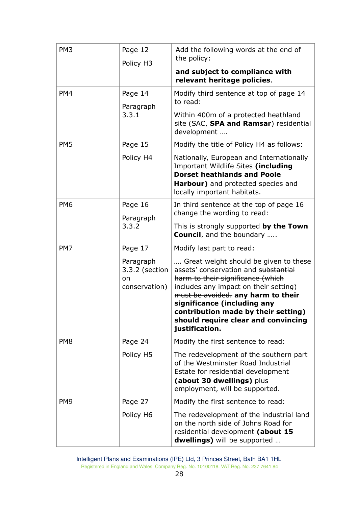| PM <sub>3</sub> | Page 12<br>Policy H <sub>3</sub>                   | Add the following words at the end of<br>the policy:<br>and subject to compliance with                                                                                                                                                                                                                                           |
|-----------------|----------------------------------------------------|----------------------------------------------------------------------------------------------------------------------------------------------------------------------------------------------------------------------------------------------------------------------------------------------------------------------------------|
| PM4             | Page 14<br>Paragraph<br>3.3.1                      | relevant heritage policies.<br>Modify third sentence at top of page 14<br>to read:<br>Within 400m of a protected heathland<br>site (SAC, SPA and Ramsar) residential                                                                                                                                                             |
| PM <sub>5</sub> | Page 15                                            | development<br>Modify the title of Policy H4 as follows:                                                                                                                                                                                                                                                                         |
|                 | Policy H4                                          | Nationally, European and Internationally<br>Important Wildlife Sites (including<br><b>Dorset heathlands and Poole</b><br>Harbour) and protected species and<br>locally important habitats.                                                                                                                                       |
| PM <sub>6</sub> | Page 16<br>Paragraph                               | In third sentence at the top of page 16<br>change the wording to read:                                                                                                                                                                                                                                                           |
|                 | 3.3.2                                              | This is strongly supported by the Town<br><b>Council</b> , and the boundary                                                                                                                                                                                                                                                      |
| PM7             | Page 17                                            | Modify last part to read:                                                                                                                                                                                                                                                                                                        |
|                 | Paragraph<br>3.3.2 (section<br>on<br>conservation) | Great weight should be given to these<br>assets' conservation and substantial<br>harm to their significance (which<br>includes any impact on their setting)<br>must be avoided. any harm to their<br>significance (including any<br>contribution made by their setting)<br>should require clear and convincing<br>justification. |
| PM <sub>8</sub> | Page 24                                            | Modify the first sentence to read:                                                                                                                                                                                                                                                                                               |
|                 | Policy H5                                          | The redevelopment of the southern part<br>of the Westminster Road Industrial<br>Estate for residential development<br>(about 30 dwellings) plus<br>employment, will be supported.                                                                                                                                                |
| PM <sub>9</sub> | Page 27                                            | Modify the first sentence to read:                                                                                                                                                                                                                                                                                               |
|                 | Policy H6                                          | The redevelopment of the industrial land<br>on the north side of Johns Road for<br>residential development (about 15<br>dwellings) will be supported                                                                                                                                                                             |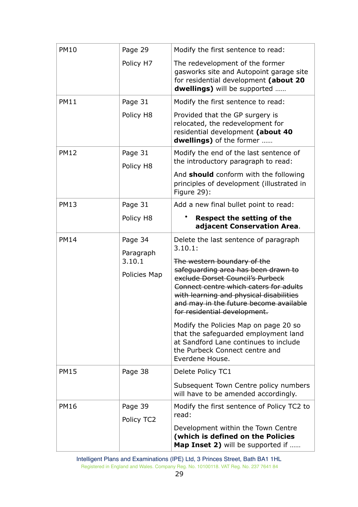| <b>PM10</b> | Page 29               | Modify the first sentence to read:                                                                                                                                                                                                     |
|-------------|-----------------------|----------------------------------------------------------------------------------------------------------------------------------------------------------------------------------------------------------------------------------------|
|             | Policy H7             | The redevelopment of the former<br>gasworks site and Autopoint garage site<br>for residential development (about 20<br>dwellings) will be supported                                                                                    |
| <b>PM11</b> | Page 31               | Modify the first sentence to read:                                                                                                                                                                                                     |
|             | Policy H8             | Provided that the GP surgery is<br>relocated, the redevelopment for<br>residential development (about 40<br>dwellings) of the former                                                                                                   |
| <b>PM12</b> | Page 31               | Modify the end of the last sentence of                                                                                                                                                                                                 |
|             | Policy H8             | the introductory paragraph to read:                                                                                                                                                                                                    |
|             |                       | And <b>should</b> conform with the following<br>principles of development (illustrated in<br>Figure 29):                                                                                                                               |
| <b>PM13</b> | Page 31               | Add a new final bullet point to read:                                                                                                                                                                                                  |
|             | Policy H8             | <b>Respect the setting of the</b><br>adjacent Conservation Area.                                                                                                                                                                       |
| <b>PM14</b> | Page 34<br>Paragraph  | Delete the last sentence of paragraph<br>3.10.1:                                                                                                                                                                                       |
|             | 3.10.1                | The western boundary of the                                                                                                                                                                                                            |
|             | Policies Map          | safeguarding area has been drawn to<br>exclude Dorset Council's Purbeck<br>Connect centre which caters for adults<br>with learning and physical disabilities<br>and may in the future become available<br>for residential development. |
|             |                       | Modify the Policies Map on page 20 so<br>that the safeguarded employment land<br>at Sandford Lane continues to include<br>the Purbeck Connect centre and<br>Everdene House.                                                            |
| <b>PM15</b> | Page 38               | Delete Policy TC1                                                                                                                                                                                                                      |
|             |                       | Subsequent Town Centre policy numbers<br>will have to be amended accordingly.                                                                                                                                                          |
| <b>PM16</b> | Page 39<br>Policy TC2 | Modify the first sentence of Policy TC2 to<br>read:                                                                                                                                                                                    |
|             |                       | Development within the Town Centre<br>(which is defined on the Policies<br><b>Map Inset 2)</b> will be supported if                                                                                                                    |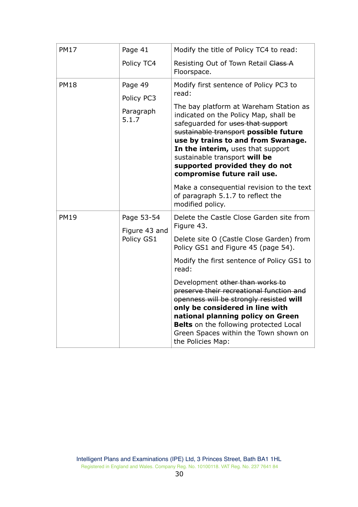| <b>PM17</b> | Page 41                     | Modify the title of Policy TC4 to read:                                                                                                                                                                                                                                                                                                    |
|-------------|-----------------------------|--------------------------------------------------------------------------------------------------------------------------------------------------------------------------------------------------------------------------------------------------------------------------------------------------------------------------------------------|
|             | Policy TC4                  | Resisting Out of Town Retail Class A<br>Floorspace.                                                                                                                                                                                                                                                                                        |
| <b>PM18</b> | Page 49<br>Policy PC3       | Modify first sentence of Policy PC3 to<br>read:                                                                                                                                                                                                                                                                                            |
|             | Paragraph<br>5.1.7          | The bay platform at Wareham Station as<br>indicated on the Policy Map, shall be<br>safeguarded for uses that support<br>sustainable transport possible future<br>use by trains to and from Swanage.<br>In the interim, uses that support<br>sustainable transport will be<br>supported provided they do not<br>compromise future rail use. |
|             |                             | Make a consequential revision to the text<br>of paragraph 5.1.7 to reflect the<br>modified policy.                                                                                                                                                                                                                                         |
| <b>PM19</b> | Page 53-54<br>Figure 43 and | Delete the Castle Close Garden site from<br>Figure 43.                                                                                                                                                                                                                                                                                     |
|             | Policy GS1                  | Delete site O (Castle Close Garden) from<br>Policy GS1 and Figure 45 (page 54).                                                                                                                                                                                                                                                            |
|             |                             | Modify the first sentence of Policy GS1 to<br>read:                                                                                                                                                                                                                                                                                        |
|             |                             | Development other than works to<br>preserve their recreational function and<br>openness will be strongly resisted will<br>only be considered in line with<br>national planning policy on Green<br><b>Belts</b> on the following protected Local<br>Green Spaces within the Town shown on<br>the Policies Map:                              |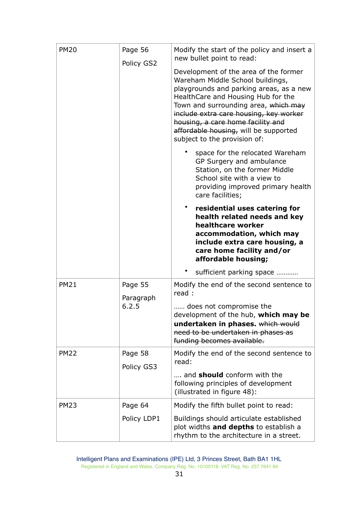| <b>PM20</b> | Page 56<br>Policy GS2 | Modify the start of the policy and insert a<br>new bullet point to read:                                                                                                                                                                                                                                                                                   |
|-------------|-----------------------|------------------------------------------------------------------------------------------------------------------------------------------------------------------------------------------------------------------------------------------------------------------------------------------------------------------------------------------------------------|
|             |                       | Development of the area of the former<br>Wareham Middle School buildings,<br>playgrounds and parking areas, as a new<br>HealthCare and Housing Hub for the<br>Town and surrounding area, which may<br>include extra care housing, key worker<br>housing, a care home facility and<br>affordable housing, will be supported<br>subject to the provision of: |
|             |                       | space for the relocated Wareham<br>GP Surgery and ambulance<br>Station, on the former Middle<br>School site with a view to<br>providing improved primary health<br>care facilities;                                                                                                                                                                        |
|             |                       | $\bullet$<br>residential uses catering for<br>health related needs and key<br>healthcare worker<br>accommodation, which may<br>include extra care housing, a<br>care home facility and/or<br>affordable housing;                                                                                                                                           |
|             |                       | sufficient parking space                                                                                                                                                                                                                                                                                                                                   |
| <b>PM21</b> | Page 55               | Modify the end of the second sentence to<br>read:                                                                                                                                                                                                                                                                                                          |
|             | Paragraph<br>6.2.5    | does not compromise the<br>development of the hub, which may be<br>undertaken in phases. which would<br>need to be undertaken in phases as<br>funding becomes available.                                                                                                                                                                                   |
| <b>PM22</b> | Page 58               | Modify the end of the second sentence to                                                                                                                                                                                                                                                                                                                   |
|             | Policy GS3            | read:<br>and <b>should</b> conform with the<br>following principles of development<br>(illustrated in figure 48):                                                                                                                                                                                                                                          |
| <b>PM23</b> | Page 64               | Modify the fifth bullet point to read:                                                                                                                                                                                                                                                                                                                     |
|             | Policy LDP1           | Buildings should articulate established<br>plot widths and depths to establish a<br>rhythm to the architecture in a street.                                                                                                                                                                                                                                |